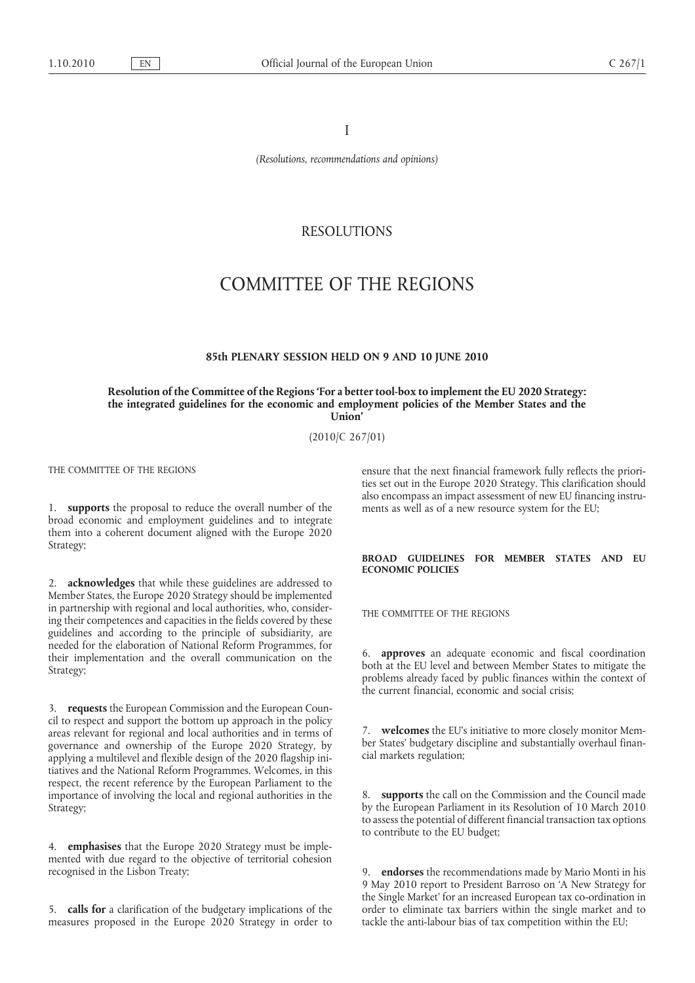I

*(Resolutions, recommendations and opinions)*

## RESOLUTIONS

# COMMITTEE OF THE REGIONS

#### **85th PLENARY SESSION HELD ON 9 AND 10 JUNE 2010**

**Resolution of the Committee of the Regions 'For a better tool-box to implement the EU 2020 Strategy: the integrated guidelines for the economic and employment policies of the Member States and the Union'**

(2010/C 267/01)

THE COMMITTEE OF THE REGIONS

1. **supports** the proposal to reduce the overall number of the broad economic and employment guidelines and to integrate them into a coherent document aligned with the Europe 2020 Strategy;

2. **acknowledges** that while these guidelines are addressed to Member States, the Europe 2020 Strategy should be implemented in partnership with regional and local authorities, who, considering their competences and capacities in the fields covered by these guidelines and according to the principle of subsidiarity, are needed for the elaboration of National Reform Programmes, for their implementation and the overall communication on the Strategy;

3. **requests** the European Commission and the European Council to respect and support the bottom up approach in the policy areas relevant for regional and local authorities and in terms of governance and ownership of the Europe 2020 Strategy, by applying a multilevel and flexible design of the 2020 flagship initiatives and the National Reform Programmes. Welcomes, in this respect, the recent reference by the European Parliament to the importance of involving the local and regional authorities in the Strategy;

4. **emphasises** that the Europe 2020 Strategy must be implemented with due regard to the objective of territorial cohesion recognised in the Lisbon Treaty;

5. **calls for** a clarification of the budgetary implications of the measures proposed in the Europe 2020 Strategy in order to ensure that the next financial framework fully reflects the priorities set out in the Europe 2020 Strategy. This clarification should also encompass an impact assessment of new EU financing instruments as well as of a new resource system for the EU;

#### **BROAD GUIDELINES FOR MEMBER STATES AND EU ECONOMIC POLICIES**

THE COMMITTEE OF THE REGIONS

6. **approves** an adequate economic and fiscal coordination both at the EU level and between Member States to mitigate the problems already faced by public finances within the context of the current financial, economic and social crisis;

7. **welcomes** the EU's initiative to more closely monitor Member States' budgetary discipline and substantially overhaul financial markets regulation;

8. **supports** the call on the Commission and the Council made by the European Parliament in its Resolution of 10 March 2010 to assess the potential of different financial transaction tax options to contribute to the EU budget;

9. **endorses** the recommendations made by Mario Monti in his 9 May 2010 report to President Barroso on 'A New Strategy for the Single Market' for an increased European tax co-ordination in order to eliminate tax barriers within the single market and to tackle the anti-labour bias of tax competition within the EU;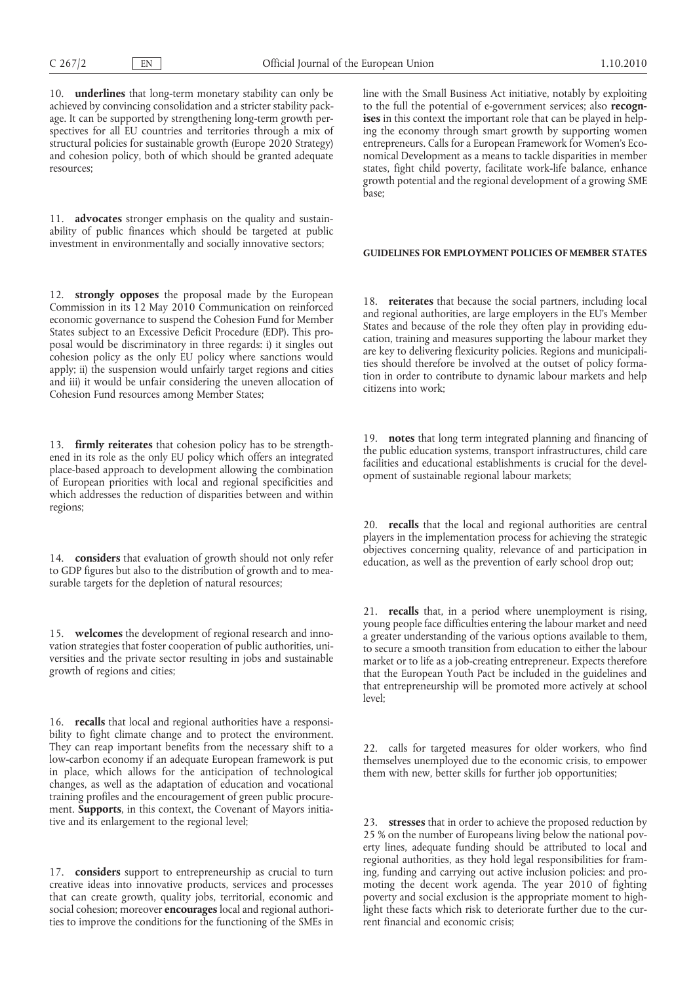10.  **underlines** that long-term monetary stability can only be achieved by convincing consolidation and a stricter stability package. It can be supported by strengthening long-term growth perspectives for all EU countries and territories through a mix of structural policies for sustainable growth (Europe 2020 Strategy) and cohesion policy, both of which should be granted adequate resources;

11.  **advocates** stronger emphasis on the quality and sustainability of public finances which should be targeted at public investment in environmentally and socially innovative sectors;

12. **strongly opposes** the proposal made by the European Commission in its 12 May 2010 Communication on reinforced economic governance to suspend the Cohesion Fund for Member States subject to an Excessive Deficit Procedure (EDP). This proposal would be discriminatory in three regards: i) it singles out cohesion policy as the only EU policy where sanctions would apply; ii) the suspension would unfairly target regions and cities and iii) it would be unfair considering the uneven allocation of Cohesion Fund resources among Member States;

13. **firmly reiterates** that cohesion policy has to be strengthened in its role as the only EU policy which offers an integrated place-based approach to development allowing the combination of European priorities with local and regional specificities and which addresses the reduction of disparities between and within regions;

14. **considers** that evaluation of growth should not only refer to GDP figures but also to the distribution of growth and to measurable targets for the depletion of natural resources;

15. **welcomes** the development of regional research and innovation strategies that foster cooperation of public authorities, universities and the private sector resulting in jobs and sustainable growth of regions and cities;

16. **recalls** that local and regional authorities have a responsibility to fight climate change and to protect the environment. They can reap important benefits from the necessary shift to a low-carbon economy if an adequate European framework is put in place, which allows for the anticipation of technological changes, as well as the adaptation of education and vocational training profiles and the encouragement of green public procurement. **Supports**, in this context, the Covenant of Mayors initiative and its enlargement to the regional level;

17.  **considers** support to entrepreneurship as crucial to turn creative ideas into innovative products, services and processes that can create growth, quality jobs, territorial, economic and social cohesion; moreover **encourages** local and regional authorities to improve the conditions for the functioning of the SMEs in

line with the Small Business Act initiative, notably by exploiting to the full the potential of e-government services; also **recognises** in this context the important role that can be played in helping the economy through smart growth by supporting women entrepreneurs. Calls for a European Framework for Women's Economical Development as a means to tackle disparities in member states, fight child poverty, facilitate work-life balance, enhance growth potential and the regional development of a growing SME base;

### **GUIDELINES FOR EMPLOYMENT POLICIES OF MEMBER STATES**

18. **reiterates** that because the social partners, including local and regional authorities, are large employers in the EU's Member States and because of the role they often play in providing education, training and measures supporting the labour market they are key to delivering flexicurity policies. Regions and municipalities should therefore be involved at the outset of policy formation in order to contribute to dynamic labour markets and help citizens into work;

19. **notes** that long term integrated planning and financing of the public education systems, transport infrastructures, child care facilities and educational establishments is crucial for the development of sustainable regional labour markets;

20. **recalls** that the local and regional authorities are central players in the implementation process for achieving the strategic objectives concerning quality, relevance of and participation in education, as well as the prevention of early school drop out;

21. **recalls** that, in a period where unemployment is rising, young people face difficulties entering the labour market and need a greater understanding of the various options available to them, to secure a smooth transition from education to either the labour market or to life as a job-creating entrepreneur. Expects therefore that the European Youth Pact be included in the guidelines and that entrepreneurship will be promoted more actively at school level;

22. calls for targeted measures for older workers, who find themselves unemployed due to the economic crisis, to empower them with new, better skills for further job opportunities;

23. **stresses** that in order to achieve the proposed reduction by 25 % on the number of Europeans living below the national poverty lines, adequate funding should be attributed to local and regional authorities, as they hold legal responsibilities for framing, funding and carrying out active inclusion policies: and promoting the decent work agenda. The year 2010 of fighting poverty and social exclusion is the appropriate moment to highlight these facts which risk to deteriorate further due to the current financial and economic crisis;